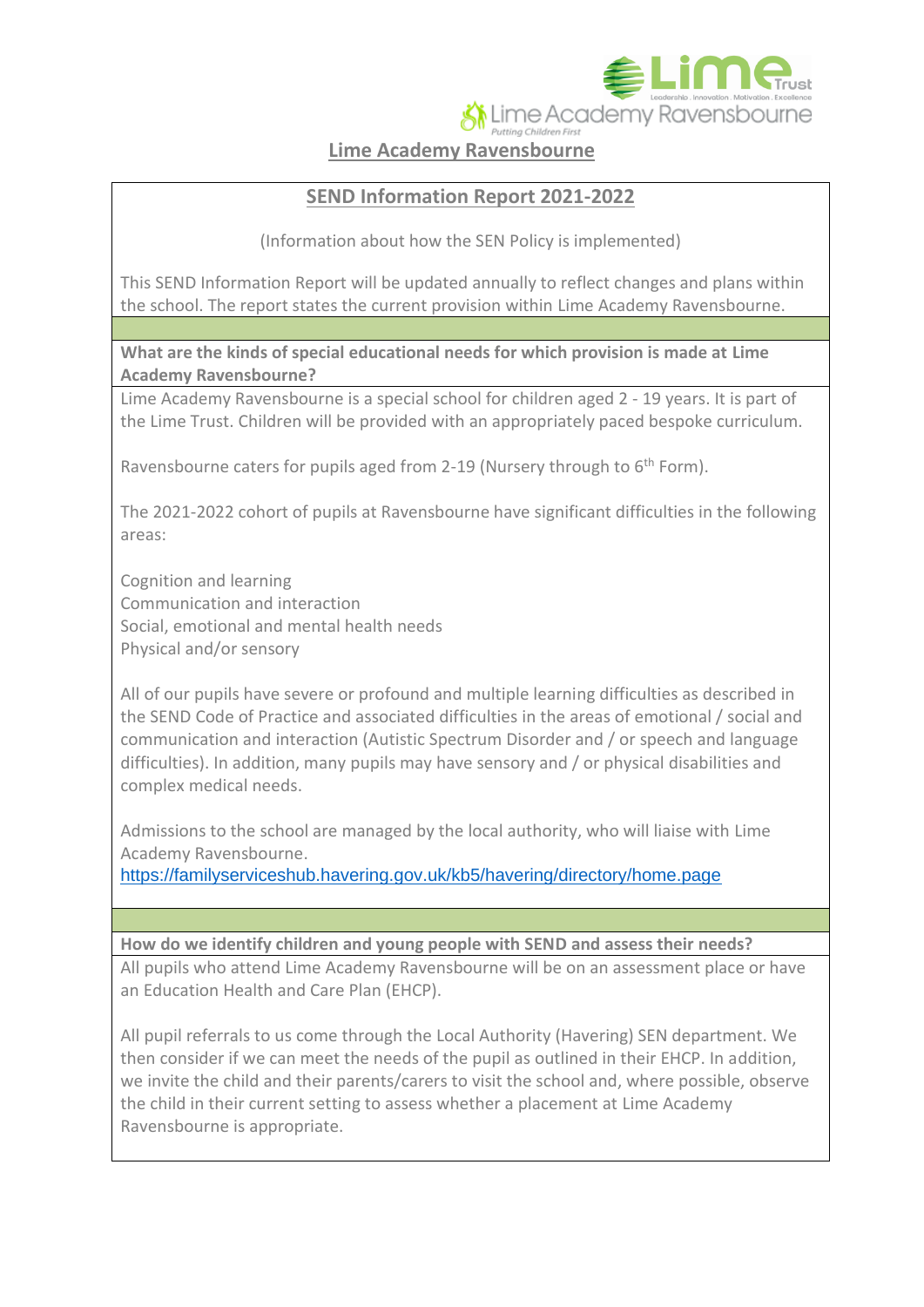Lime Academy Ravensbourne

**Lime Academy Ravensbourne**

## **SEND Information Report 2021-2022**

(Information about how the SEN Policy is implemented)

This SEND Information Report will be updated annually to reflect changes and plans within the school. The report states the current provision within Lime Academy Ravensbourne.

**What are the kinds of special educational needs for which provision is made at Lime Academy Ravensbourne?**

Lime Academy Ravensbourne is a special school for children aged 2 - 19 years. It is part of the Lime Trust. Children will be provided with an appropriately paced bespoke curriculum.

Ravensbourne caters for pupils aged from 2-19 (Nursery through to  $6<sup>th</sup>$  Form).

The 2021-2022 cohort of pupils at Ravensbourne have significant difficulties in the following areas:

Cognition and learning Communication and interaction Social, emotional and mental health needs Physical and/or sensory

All of our pupils have severe or profound and multiple learning difficulties as described in the SEND Code of Practice and associated difficulties in the areas of emotional / social and communication and interaction (Autistic Spectrum Disorder and / or speech and language difficulties). In addition, many pupils may have sensory and / or physical disabilities and complex medical needs.

Admissions to the school are managed by the local authority, who will liaise with Lime Academy Ravensbourne.

<https://familyserviceshub.havering.gov.uk/kb5/havering/directory/home.page>

**How do we identify children and young people with SEND and assess their needs?**

All pupils who attend Lime Academy Ravensbourne will be on an assessment place or have an Education Health and Care Plan (EHCP).

All pupil referrals to us come through the Local Authority (Havering) SEN department. We then consider if we can meet the needs of the pupil as outlined in their EHCP. In addition, we invite the child and their parents/carers to visit the school and, where possible, observe the child in their current setting to assess whether a placement at Lime Academy Ravensbourne is appropriate.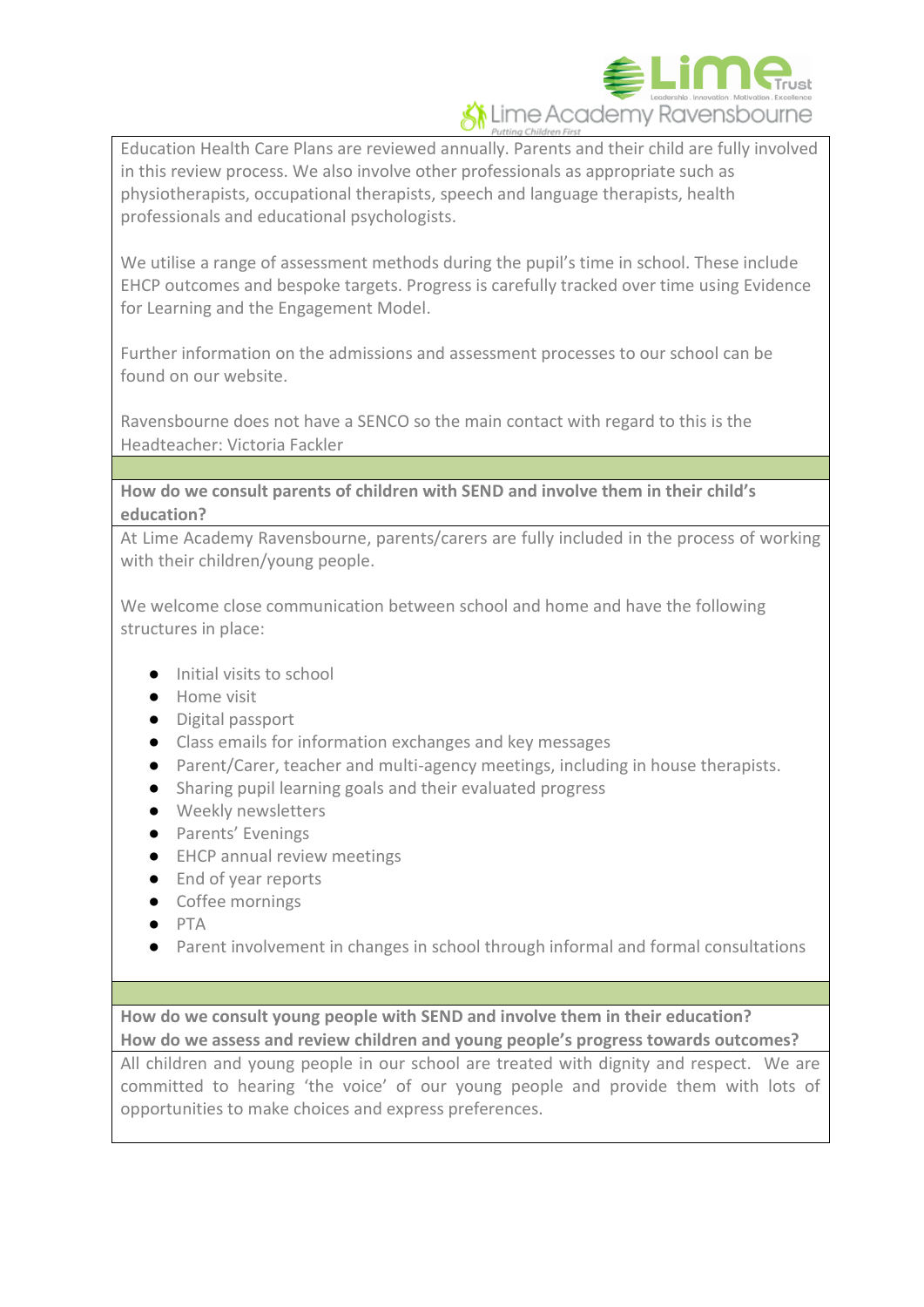

Education Health Care Plans are reviewed annually. Parents and their child are fully involved in this review process. We also involve other professionals as appropriate such as physiotherapists, occupational therapists, speech and language therapists, health professionals and educational psychologists.

We utilise a range of assessment methods during the pupil's time in school. These include EHCP outcomes and bespoke targets. Progress is carefully tracked over time using Evidence for Learning and the Engagement Model.

Further information on the admissions and assessment processes to our school can be found on our website.

Ravensbourne does not have a SENCO so the main contact with regard to this is the Headteacher: Victoria Fackler

**How do we consult parents of children with SEND and involve them in their child's education?**

At Lime Academy Ravensbourne, parents/carers are fully included in the process of working with their children/young people.

We welcome close communication between school and home and have the following structures in place:

- Initial visits to school
- Home visit
- Digital passport
- Class emails for information exchanges and key messages
- Parent/Carer, teacher and multi-agency meetings, including in house therapists.
- Sharing pupil learning goals and their evaluated progress
- Weekly newsletters
- Parents' Evenings
- EHCP annual review meetings
- End of year reports
- Coffee mornings
- PTA
- Parent involvement in changes in school through informal and formal consultations

**How do we consult young people with SEND and involve them in their education? How do we assess and review children and young people's progress towards outcomes?**

All children and young people in our school are treated with dignity and respect. We are committed to hearing 'the voice' of our young people and provide them with lots of opportunities to make choices and express preferences.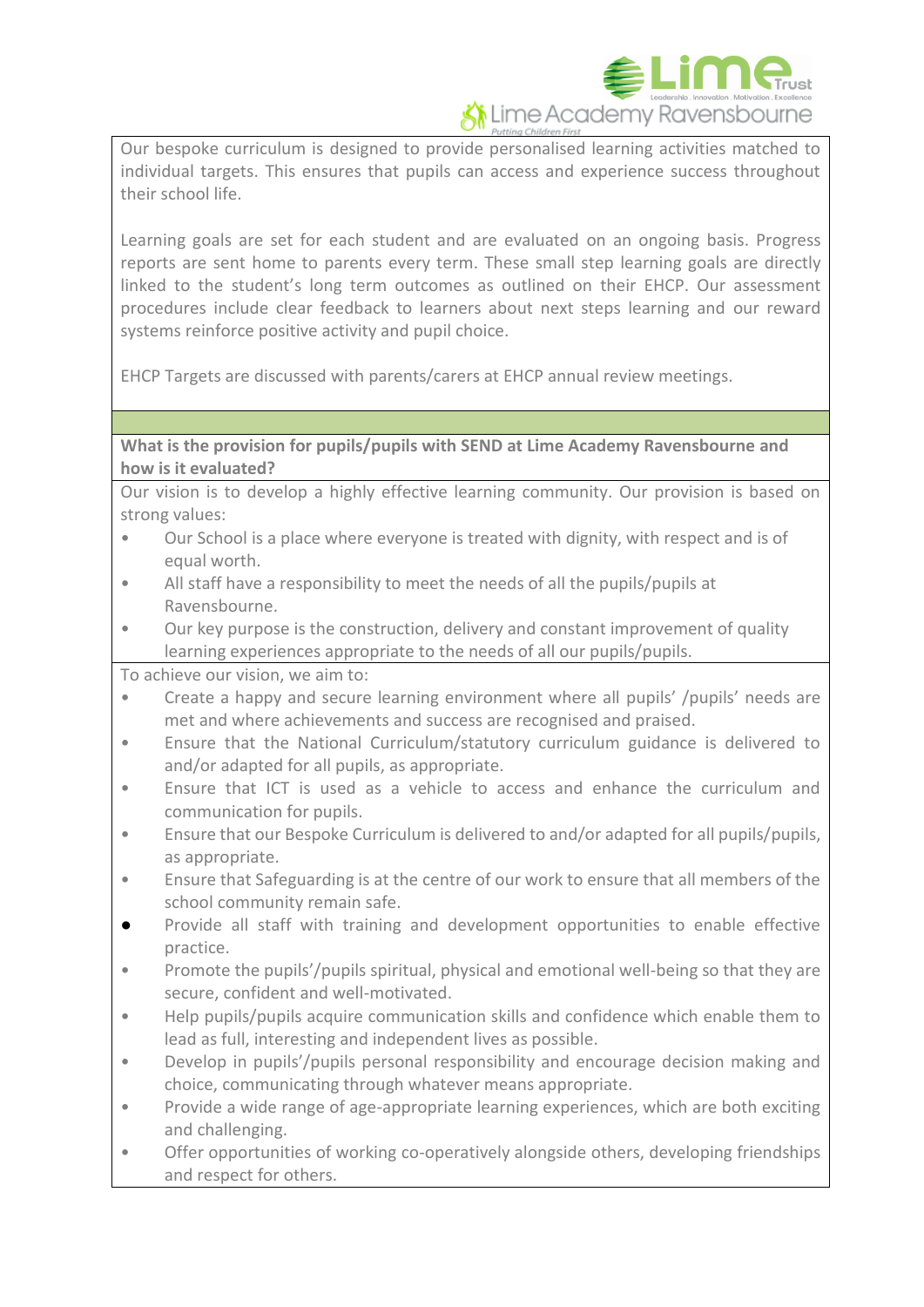

Our bespoke curriculum is designed to provide personalised learning activities matched to individual targets. This ensures that pupils can access and experience success throughout their school life.

Learning goals are set for each student and are evaluated on an ongoing basis. Progress reports are sent home to parents every term. These small step learning goals are directly linked to the student's long term outcomes as outlined on their EHCP. Our assessment procedures include clear feedback to learners about next steps learning and our reward systems reinforce positive activity and pupil choice.

EHCP Targets are discussed with parents/carers at EHCP annual review meetings.

**What is the provision for pupils/pupils with SEND at Lime Academy Ravensbourne and how is it evaluated?**

Our vision is to develop a highly effective learning community. Our provision is based on strong values:

- Our School is a place where everyone is treated with dignity, with respect and is of equal worth.
- All staff have a responsibility to meet the needs of all the pupils/pupils at Ravensbourne.
- Our key purpose is the construction, delivery and constant improvement of quality learning experiences appropriate to the needs of all our pupils/pupils.

To achieve our vision, we aim to:

- Create a happy and secure learning environment where all pupils' /pupils' needs are met and where achievements and success are recognised and praised.
- Ensure that the National Curriculum/statutory curriculum guidance is delivered to and/or adapted for all pupils, as appropriate.
- Ensure that ICT is used as a vehicle to access and enhance the curriculum and communication for pupils.
- Ensure that our Bespoke Curriculum is delivered to and/or adapted for all pupils/pupils, as appropriate.
- Ensure that Safeguarding is at the centre of our work to ensure that all members of the school community remain safe.
- Provide all staff with training and development opportunities to enable effective practice.
- Promote the pupils'/pupils spiritual, physical and emotional well-being so that they are secure, confident and well-motivated.
- Help pupils/pupils acquire communication skills and confidence which enable them to lead as full, interesting and independent lives as possible.
- Develop in pupils'/pupils personal responsibility and encourage decision making and choice, communicating through whatever means appropriate.
- Provide a wide range of age-appropriate learning experiences, which are both exciting and challenging.
- Offer opportunities of working co-operatively alongside others, developing friendships and respect for others.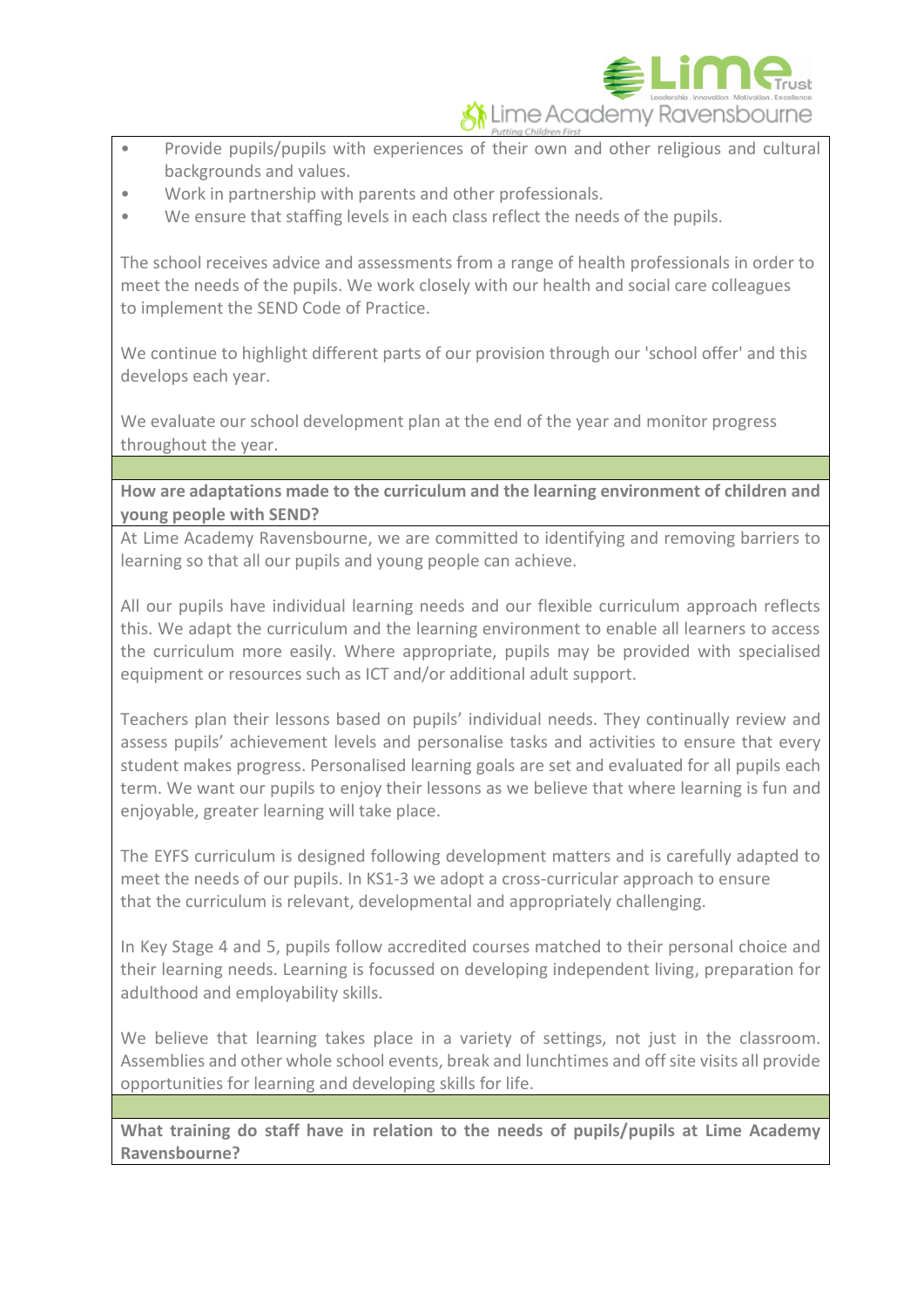

- Provide pupils/pupils with experiences of their own and other religious and cultural backgrounds and values.
- Work in partnership with parents and other professionals.
- We ensure that staffing levels in each class reflect the needs of the pupils.

The school receives advice and assessments from a range of health professionals in order to meet the needs of the pupils. We work closely with our health and social care colleagues to implement the SEND Code of Practice.

We continue to highlight different parts of our provision through our 'school offer' and this develops each year.

We evaluate our school development plan at the end of the year and monitor progress throughout the year.

**How are adaptations made to the curriculum and the learning environment of children and young people with SEND?**

At Lime Academy Ravensbourne, we are committed to identifying and removing barriers to learning so that all our pupils and young people can achieve.

All our pupils have individual learning needs and our flexible curriculum approach reflects this. We adapt the curriculum and the learning environment to enable all learners to access the curriculum more easily. Where appropriate, pupils may be provided with specialised equipment or resources such as ICT and/or additional adult support.

Teachers plan their lessons based on pupils' individual needs. They continually review and assess pupils' achievement levels and personalise tasks and activities to ensure that every student makes progress. Personalised learning goals are set and evaluated for all pupils each term. We want our pupils to enjoy their lessons as we believe that where learning is fun and enjoyable, greater learning will take place.

The EYFS curriculum is designed following development matters and is carefully adapted to meet the needs of our pupils. In KS1-3 we adopt a cross-curricular approach to ensure that the curriculum is relevant, developmental and appropriately challenging.

In Key Stage 4 and 5, pupils follow accredited courses matched to their personal choice and their learning needs. Learning is focussed on developing independent living, preparation for adulthood and employability skills.

We believe that learning takes place in a variety of settings, not just in the classroom. Assemblies and other whole school events, break and lunchtimes and off site visits all provide opportunities for learning and developing skills for life.

**What training do staff have in relation to the needs of pupils/pupils at Lime Academy Ravensbourne?**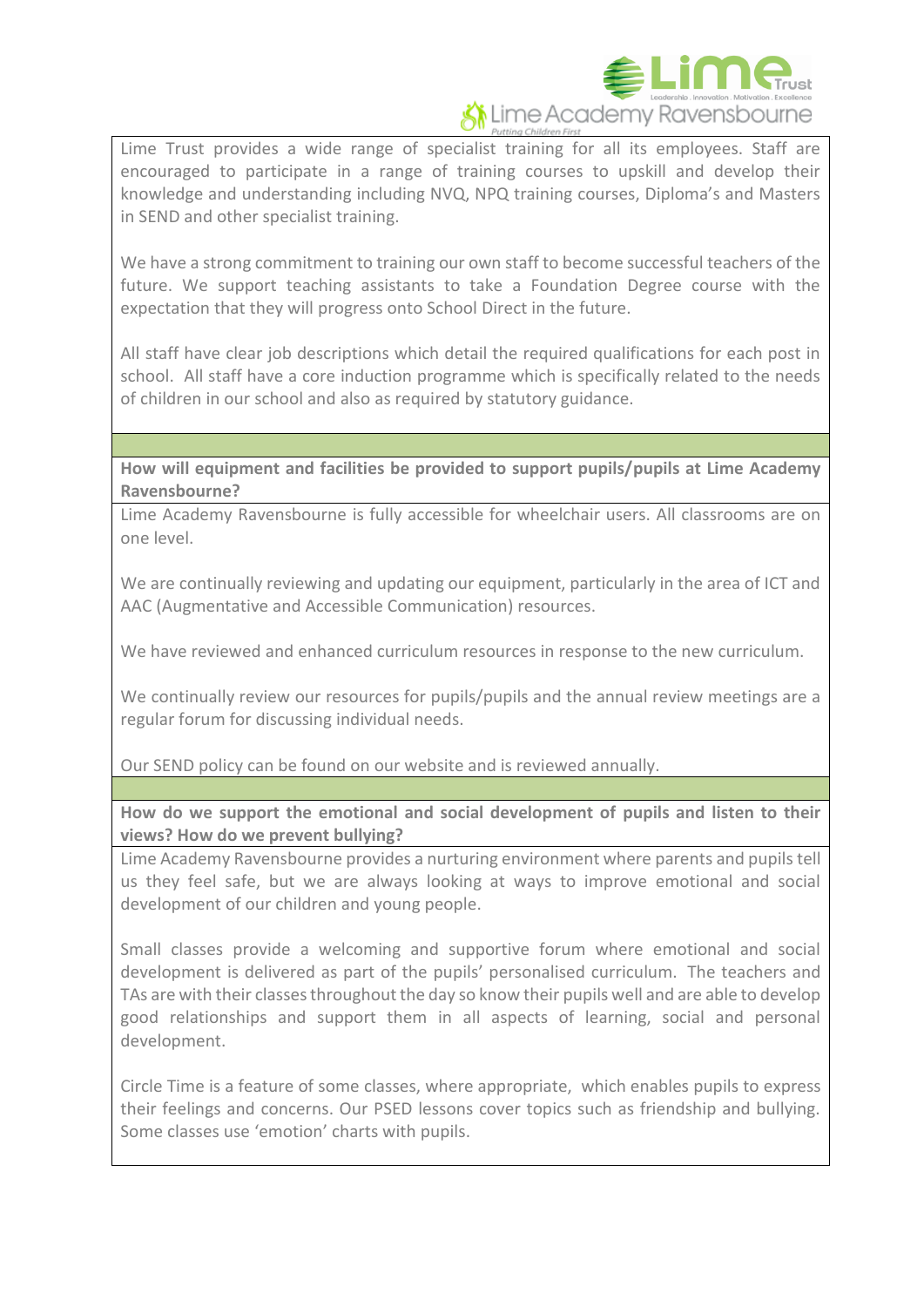

Lime Trust provides a wide range of specialist training for all its employees. Staff are encouraged to participate in a range of training courses to upskill and develop their knowledge and understanding including NVQ, NPQ training courses, Diploma's and Masters in SEND and other specialist training.

We have a strong commitment to training our own staff to become successful teachers of the future. We support teaching assistants to take a Foundation Degree course with the expectation that they will progress onto School Direct in the future.

All staff have clear job descriptions which detail the required qualifications for each post in school. All staff have a core induction programme which is specifically related to the needs of children in our school and also as required by statutory guidance.

**How will equipment and facilities be provided to support pupils/pupils at Lime Academy Ravensbourne?**

Lime Academy Ravensbourne is fully accessible for wheelchair users. All classrooms are on one level.

We are continually reviewing and updating our equipment, particularly in the area of ICT and AAC (Augmentative and Accessible Communication) resources.

We have reviewed and enhanced curriculum resources in response to the new curriculum.

We continually review our resources for pupils/pupils and the annual review meetings are a regular forum for discussing individual needs.

Our SEND policy can be found on our website and is reviewed annually.

**How do we support the emotional and social development of pupils and listen to their views? How do we prevent bullying?**

Lime Academy Ravensbourne provides a nurturing environment where parents and pupils tell us they feel safe, but we are always looking at ways to improve emotional and social development of our children and young people.

Small classes provide a welcoming and supportive forum where emotional and social development is delivered as part of the pupils' personalised curriculum. The teachers and TAs are with their classes throughout the day so know their pupils well and are able to develop good relationships and support them in all aspects of learning, social and personal development.

Circle Time is a feature of some classes, where appropriate, which enables pupils to express their feelings and concerns. Our PSED lessons cover topics such as friendship and bullying. Some classes use 'emotion' charts with pupils.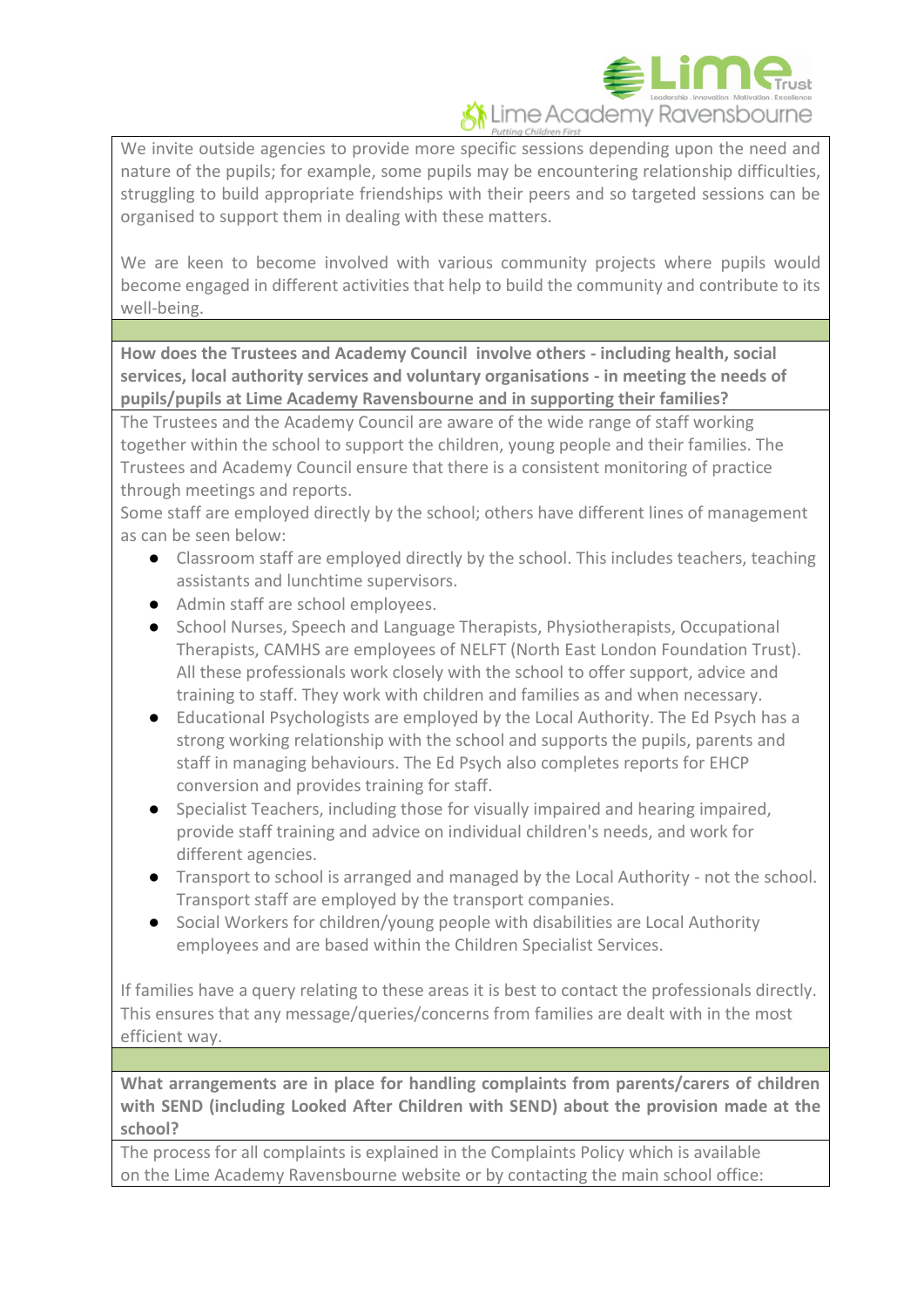

We invite outside agencies to provide more specific sessions depending upon the need and nature of the pupils; for example, some pupils may be encountering relationship difficulties, struggling to build appropriate friendships with their peers and so targeted sessions can be organised to support them in dealing with these matters.

We are keen to become involved with various community projects where pupils would become engaged in different activities that help to build the community and contribute to its well-being.

**How does the Trustees and Academy Council involve others - including health, social services, local authority services and voluntary organisations - in meeting the needs of pupils/pupils at Lime Academy Ravensbourne and in supporting their families?**

The Trustees and the Academy Council are aware of the wide range of staff working together within the school to support the children, young people and their families. The Trustees and Academy Council ensure that there is a consistent monitoring of practice through meetings and reports.

Some staff are employed directly by the school; others have different lines of management as can be seen below:

- Classroom staff are employed directly by the school. This includes teachers, teaching assistants and lunchtime supervisors.
- Admin staff are school employees.
- School Nurses, Speech and Language Therapists, Physiotherapists, Occupational Therapists, CAMHS are employees of NELFT (North East London Foundation Trust). All these professionals work closely with the school to offer support, advice and training to staff. They work with children and families as and when necessary.
- Educational Psychologists are employed by the Local Authority. The Ed Psych has a strong working relationship with the school and supports the pupils, parents and staff in managing behaviours. The Ed Psych also completes reports for EHCP conversion and provides training for staff.
- Specialist Teachers, including those for visually impaired and hearing impaired, provide staff training and advice on individual children's needs, and work for different agencies.
- Transport to school is arranged and managed by the Local Authority not the school. Transport staff are employed by the transport companies.
- Social Workers for children/young people with disabilities are Local Authority employees and are based within the Children Specialist Services.

If families have a query relating to these areas it is best to contact the professionals directly. This ensures that any message/queries/concerns from families are dealt with in the most efficient way.

**What arrangements are in place for handling complaints from parents/carers of children with SEND (including Looked After Children with SEND) about the provision made at the school?**

The process for all complaints is explained in the Complaints Policy which is available on the Lime Academy Ravensbourne website or by contacting the main school office: